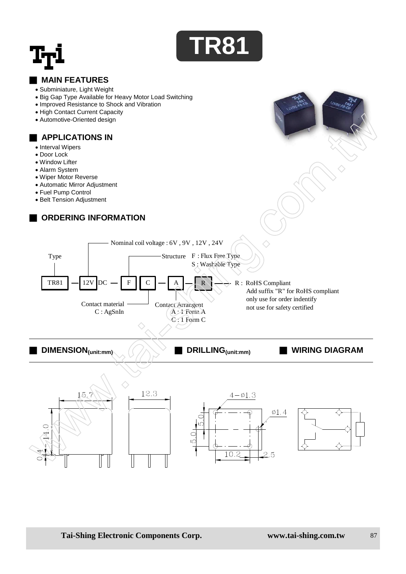



### ■ **MAIN FEATURES**

- Subminiature, Light Weight
- Big Gap Type Available for Heavy Motor Load Switching
- Improved Resistance to Shock and Vibration
- High Contact Current Capacity
- Automotive-Oriented design

#### ■ **APPLICATIONS IN**

- Interval Wipers
- Door Lock
- Window Lifter
- Alarm System
- Wiper Motor Reverse
- Automatic Mirror Adjustment
- Fuel Pump Control
- Belt Tension Adjustment

# **ORDERING INFORMATION**